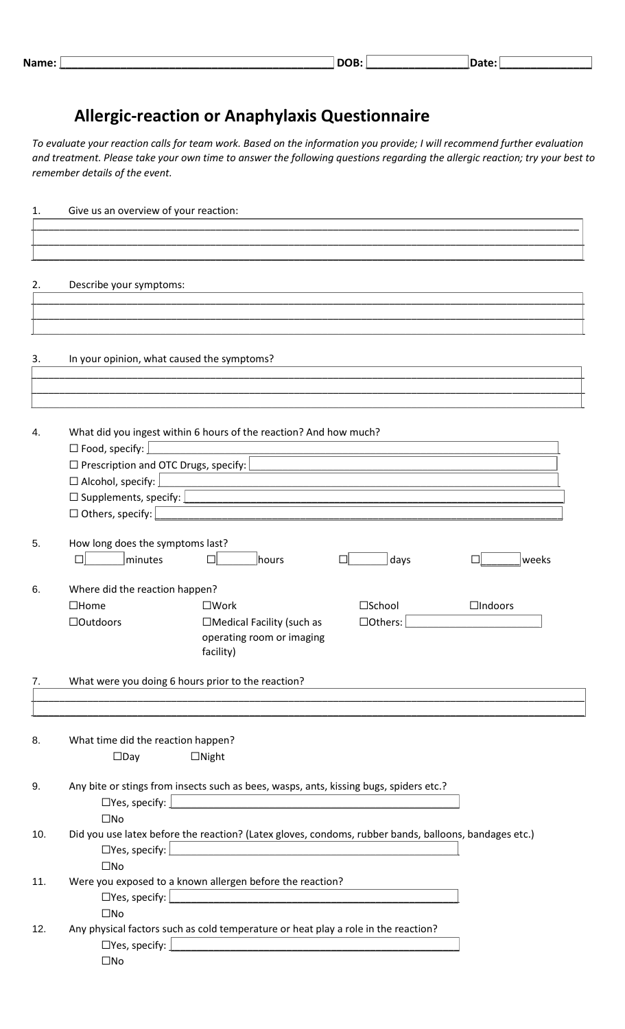| . .<br>Νĉ<br>. .<br><u>e an</u><br>_____ |  |  |  |  |  |  |  |
|------------------------------------------|--|--|--|--|--|--|--|
|------------------------------------------|--|--|--|--|--|--|--|

## **Allergic-reaction or Anaphylaxis Questionnaire**

*To evaluate your reaction calls for team work. Based on the information you provide; I will recommend further evaluation and treatment. Please take your own time to answer the following questions regarding the allergic reaction; try your best to remember details of the event.*

| 1.  | Give us an overview of your reaction:                                                                                                                               |
|-----|---------------------------------------------------------------------------------------------------------------------------------------------------------------------|
|     |                                                                                                                                                                     |
|     |                                                                                                                                                                     |
|     |                                                                                                                                                                     |
| 2.  | Describe your symptoms:                                                                                                                                             |
|     |                                                                                                                                                                     |
|     |                                                                                                                                                                     |
|     |                                                                                                                                                                     |
|     |                                                                                                                                                                     |
| 3.  | In your opinion, what caused the symptoms?                                                                                                                          |
|     |                                                                                                                                                                     |
|     |                                                                                                                                                                     |
|     |                                                                                                                                                                     |
| 4.  | What did you ingest within 6 hours of the reaction? And how much?                                                                                                   |
|     | $\square$ Food, specify:                                                                                                                                            |
|     | $\Box$ Prescription and OTC Drugs, specify:                                                                                                                         |
|     | $\Box$ Alcohol, specify: $\Box$                                                                                                                                     |
|     | $\Box$ Supplements, specify: $\Box$                                                                                                                                 |
|     | □ Others, specify:                                                                                                                                                  |
|     |                                                                                                                                                                     |
| 5.  | How long does the symptoms last?<br>minutes<br>days<br>п<br>□<br>hours<br>weeks<br>口                                                                                |
|     |                                                                                                                                                                     |
| 6.  | Where did the reaction happen?                                                                                                                                      |
|     | $\square$ Work<br><b>□School</b><br>$\Box$ Indoors<br>$\square$ Home                                                                                                |
|     | <b>Outdoors</b><br>□Medical Facility (such as<br>□Others:                                                                                                           |
|     | operating room or imaging                                                                                                                                           |
|     | facility)                                                                                                                                                           |
|     |                                                                                                                                                                     |
| 7.  | What were you doing 6 hours prior to the reaction?                                                                                                                  |
|     |                                                                                                                                                                     |
|     |                                                                                                                                                                     |
| 8.  | What time did the reaction happen?                                                                                                                                  |
|     | $\Box$ Night<br>$\square$ Day                                                                                                                                       |
|     |                                                                                                                                                                     |
| 9.  | Any bite or stings from insects such as bees, wasps, ants, kissing bugs, spiders etc.?                                                                              |
|     | $\Box$ Yes, specify: $\Box$<br><u> 1980 - Johann Barn, mars ann an t-Amhain Aonaich an t-Aonaich an t-Aonaich ann an t-Aonaich ann an t-Aonaich</u><br>$\square$ No |
| 10. | Did you use latex before the reaction? (Latex gloves, condoms, rubber bands, balloons, bandages etc.)                                                               |
|     | $\square$ Yes, specify: $\square$<br><u> 1980 - Andrea Andrew Maria (h. 1980).</u>                                                                                  |
|     | $\square$ No                                                                                                                                                        |
| 11. | Were you exposed to a known allergen before the reaction?                                                                                                           |
|     | $\square$ Yes, specify: $\square$                                                                                                                                   |
|     | $\square$ No                                                                                                                                                        |
| 12. | Any physical factors such as cold temperature or heat play a role in the reaction?                                                                                  |
|     | $\Box$ Yes, specify: $ $                                                                                                                                            |
|     | $\square$ No                                                                                                                                                        |
|     |                                                                                                                                                                     |